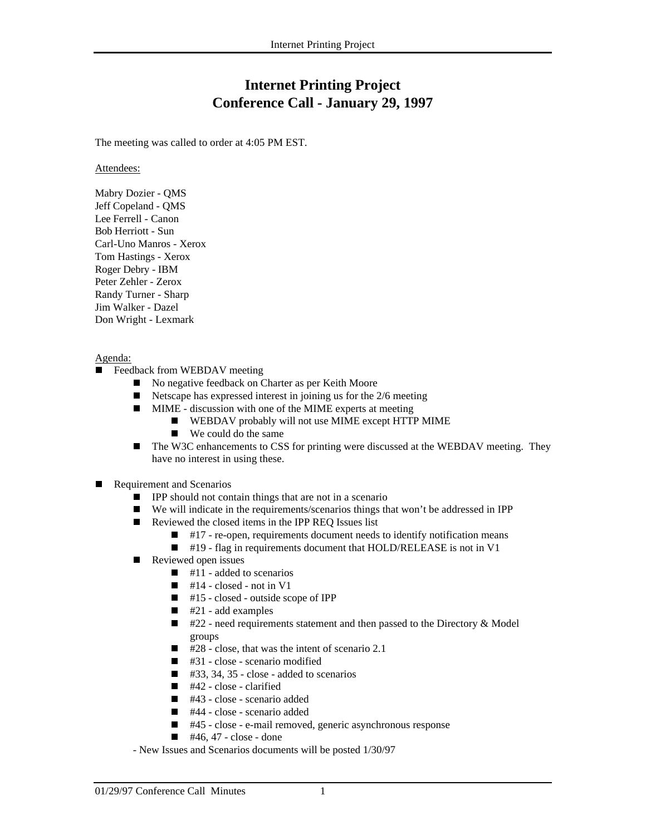## **Internet Printing Project Conference Call - January 29, 1997**

The meeting was called to order at 4:05 PM EST.

Attendees:

Mabry Dozier - QMS Jeff Copeland - QMS Lee Ferrell - Canon Bob Herriott - Sun Carl-Uno Manros - Xerox Tom Hastings - Xerox Roger Debry - IBM Peter Zehler - Zerox Randy Turner - Sharp Jim Walker - Dazel Don Wright - Lexmark

## Agenda:

- Ē Feedback from WEBDAV meeting
	- No negative feedback on Charter as per Keith Moore
	- $\blacksquare$ Netscape has expressed interest in joining us for the 2/6 meeting
	- $\blacksquare$  MIME - discussion with one of the MIME experts at meeting
		- **WEBDAV** probably will not use MIME except HTTP MIME
		- $\blacksquare$  We could do the same
	- $\blacksquare$  The W3C enhancements to CSS for printing were discussed at the WEBDAV meeting. They have no interest in using these.
- Г Requirement and Scenarios
	- **IPP** should not contain things that are not in a scenario
	- $\blacksquare$ We will indicate in the requirements/scenarios things that won't be addressed in IPP
	- Reviewed the closed items in the IPP REQ Issues list
		- $\blacksquare$  #17 re-open, requirements document needs to identify notification means
		- #19 flag in requirements document that HOLD/RELEASE is not in V1
	- Г Reviewed open issues
		- $\blacksquare$  #11 added to scenarios
		- $\blacksquare$  #14 closed not in V1
		- $\blacksquare$  #15 closed outside scope of IPP
		- $\blacksquare$  #21 add examples
		- $\blacksquare$  #22 need requirements statement and then passed to the Directory & Model groups
		- $\overline{428}$  close, that was the intent of scenario 2.1
		- $\blacksquare$  #31 close scenario modified
		- $\blacksquare$  #33, 34, 35 close added to scenarios
		- $\blacksquare$  #42 close clarified
		- $\blacksquare$  #43 close scenario added
		- $\blacksquare$  #44 close scenario added
		- #45 close e-mail removed, generic asynchronous response
		- $\blacksquare$  #46, 47 close done
	- New Issues and Scenarios documents will be posted 1/30/97